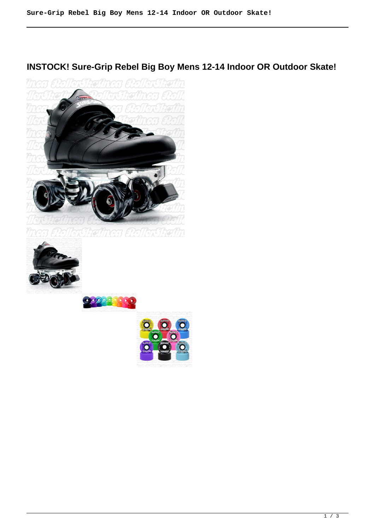## **INSTOCK! Sure-Grip Rebel Big Boy Mens 12-14 Indoor OR Outdoor Skate!**







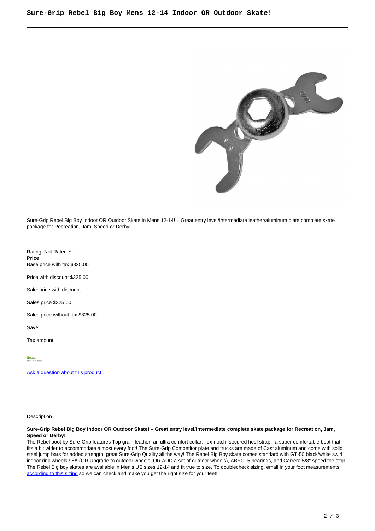

Sure-Grip Rebel Big Boy Indoor OR Outdoor Skate in Mens 12-14! – Great entry level/Intermediate leather/aluminum plate complete skate package for Recreation, Jam, Speed or Derby!

Rating: Not Rated Yet **Price**  Base price with tax \$325.00

Price with discount \$325.00

Salesprice with discount

Sales price \$325.00

Sales price without tax \$325.00

Save:

Tax amount

*In Stock*<br>Shins In: 24 Hours

[Ask a question about this product](https://rollerskatin.ca/index.php?option=com_virtuemart&view=productdetails&task=askquestion&virtuemart_product_id=1177&virtuemart_category_id=28&tmpl=component)

Description

## **Sure-Grip Rebel Big Boy Indoor OR Outdoor Skate! – Great entry level/Intermediate complete skate package for Recreation, Jam, Speed or Derby!**

The Rebel boot by Sure-Grip features Top grain leather, an ultra comfort collar, flex-notch, secured heel strap - a super comfortable boot that fits a bit wider to accommodate almost every foot! The Sure-Grip Competitor plate and trucks are made of Cast aluminum and come with solid steel jump bars for added strength, great Sure-Grip Quality all the way! The Rebel Big Boy skate comes standard with GT-50 black/white swirl indoor rink wheels 95A (OR Upgrade to outdoor wheels, OR ADD a set of outdoor wheels), ABEC -5 bearings, and Carrera 5/8" speed toe stop. The Rebel Big boy skates are available in Men's US sizes 12-14 and fit true to size. To doublecheck sizing, email in your foot measurements [according to this sizing](https://www.liveabout.com/how-to-measure-your-feet-2987812) so we can check and make you get the right size for your feet!